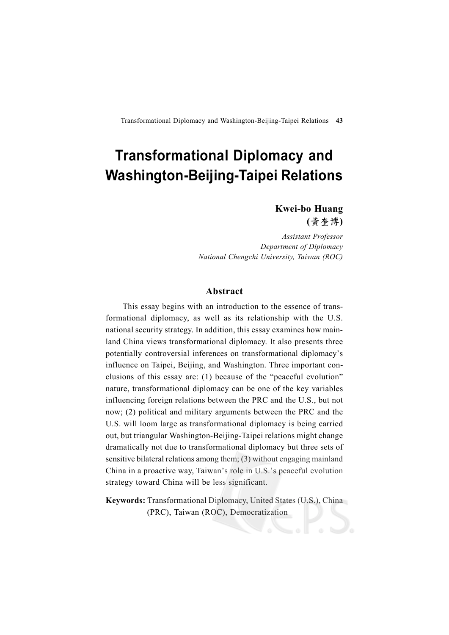**Kwei-bo Huang (**黃奎博**)**

*Assistant Professor Department of Diplomacy National Chengchi University, Taiwan (ROC)*

## **Abstract**

This essay begins with an introduction to the essence of transformational diplomacy, as well as its relationship with the U.S. national security strategy. In addition, this essay examines how mainland China views transformational diplomacy. It also presents three potentially controversial inferences on transformational diplomacy's influence on Taipei, Beijing, and Washington. Three important conclusions of this essay are: (1) because of the "peaceful evolution" nature, transformational diplomacy can be one of the key variables influencing foreign relations between the PRC and the U.S., but not now; (2) political and military arguments between the PRC and the U.S. will loom large as transformational diplomacy is being carried out, but triangular Washington-Beijing-Taipei relations might change dramatically not due to transformational diplomacy but three sets of sensitive bilateral relations among them; (3) without engaging mainland China in a proactive way, Taiwan's role in U.S.'s peaceful evolution strategy toward China will be less significant.

**Keywords:** Transformational Diplomacy, United States (U.S.), China (PRC), Taiwan (ROC), Democratization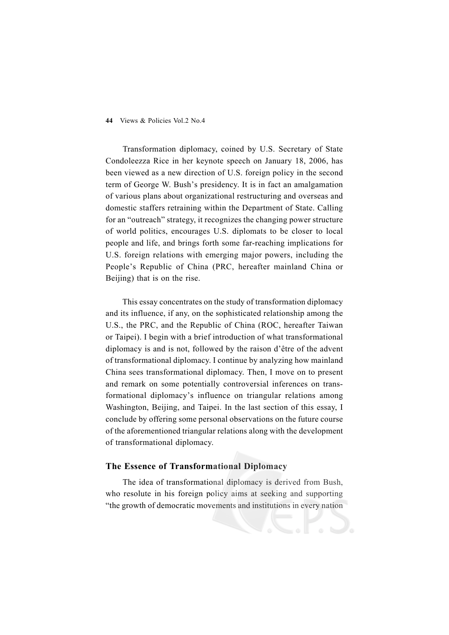Transformation diplomacy, coined by U.S. Secretary of State Condoleezza Rice in her keynote speech on January 18, 2006, has been viewed as a new direction of U.S. foreign policy in the second term of George W. Bush's presidency. It is in fact an amalgamation of various plans about organizational restructuring and overseas and domestic staffers retraining within the Department of State. Calling for an "outreach" strategy, it recognizes the changing power structure of world politics, encourages U.S. diplomats to be closer to local people and life, and brings forth some far-reaching implications for U.S. foreign relations with emerging major powers, including the People's Republic of China (PRC, hereafter mainland China or Beijing) that is on the rise.

This essay concentrates on the study of transformation diplomacy and its influence, if any, on the sophisticated relationship among the U.S., the PRC, and the Republic of China (ROC, hereafter Taiwan or Taipei). I begin with a brief introduction of what transformational diplomacy is and is not, followed by the raison d'être of the advent of transformational diplomacy. I continue by analyzing how mainland China sees transformational diplomacy. Then, I move on to present and remark on some potentially controversial inferences on transformational diplomacy's influence on triangular relations among Washington, Beijing, and Taipei. In the last section of this essay, I conclude by offering some personal observations on the future course of the aforementioned triangular relations along with the development of transformational diplomacy.

# **The Essence of Transformational Diplomacy**

The idea of transformational diplomacy is derived from Bush, who resolute in his foreign policy aims at seeking and supporting "the growth of democratic movements and institutions in every nation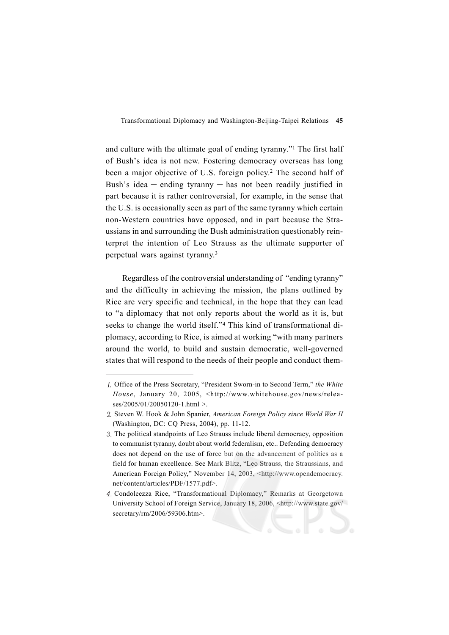and culture with the ultimate goal of ending tyranny."1 The first half of Bush's idea is not new. Fostering democracy overseas has long been a major objective of U.S. foreign policy.2 The second half of Bush's idea  $-$  ending tyranny  $-$  has not been readily justified in part because it is rather controversial, for example, in the sense that the U.S. is occasionally seen as part of the same tyranny which certain non-Western countries have opposed, and in part because the Straussians in and surrounding the Bush administration questionably reinterpret the intention of Leo Strauss as the ultimate supporter of perpetual wars against tyranny.3

Regardless of the controversial understanding of "ending tyranny" and the difficulty in achieving the mission, the plans outlined by Rice are very specific and technical, in the hope that they can lead to "a diplomacy that not only reports about the world as it is, but seeks to change the world itself."<sup>4</sup> This kind of transformational diplomacy, according to Rice, is aimed at working "with many partners around the world, to build and sustain democratic, well-governed states that will respond to the needs of their people and conduct them-

Office of the Press Secretary, "President Sworn-in to Second Term," *the White House*, January 20, 2005, <http://www.whitehouse.gov/news/releases/2005/01/20050120-1.html >.

<sup>2.</sup> Steven W. Hook & John Spanier, *American Foreign Policy since World War II* (Washington, DC: CQ Press, 2004), pp. 11-12.

<sup>3.</sup> The political standpoints of Leo Strauss include liberal democracy, opposition to communist tyranny, doubt about world federalism, etc.. Defending democracy does not depend on the use of force but on the advancement of politics as a field for human excellence. See Mark Blitz, "Leo Strauss, the Straussians, and American Foreign Policy," November 14, 2003, <http://www.opendemocracy. net/content/articles/PDF/1577.pdf>.

Condoleezza Rice, "Transformational Diplomacy," Remarks at Georgetown University School of Foreign Service, January 18, 2006, <http://www.state.gov/ secretary/rm/2006/59306.htm>.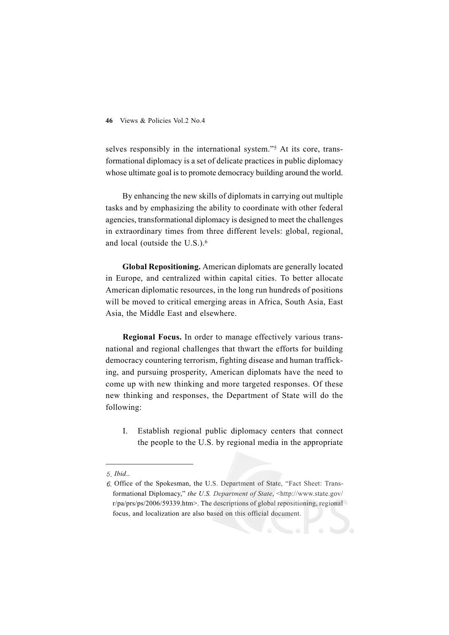selves responsibly in the international system."5 At its core, transformational diplomacy is a set of delicate practices in public diplomacy whose ultimate goal is to promote democracy building around the world.

By enhancing the new skills of diplomats in carrying out multiple tasks and by emphasizing the ability to coordinate with other federal agencies, transformational diplomacy is designed to meet the challenges in extraordinary times from three different levels: global, regional, and local (outside the U.S.).6

**Global Repositioning.** American diplomats are generally located in Europe, and centralized within capital cities. To better allocate American diplomatic resources, in the long run hundreds of positions will be moved to critical emerging areas in Africa, South Asia, East Asia, the Middle East and elsewhere.

**Regional Focus.** In order to manage effectively various transnational and regional challenges that thwart the efforts for building democracy countering terrorism, fighting disease and human trafficking, and pursuing prosperity, American diplomats have the need to come up with new thinking and more targeted responses. Of these new thinking and responses, the Department of State will do the following:

I. Establish regional public diplomacy centers that connect the people to the U.S. by regional media in the appropriate

*Ibid*..

<sup>6.</sup> Office of the Spokesman, the U.S. Department of State, "Fact Sheet: Transformational Diplomacy," *the U.S. Department of State*, <http://www.state.gov/ r/pa/prs/ps/2006/59339.htm>. The descriptions of global repositioning, regional focus, and localization are also based on this official document.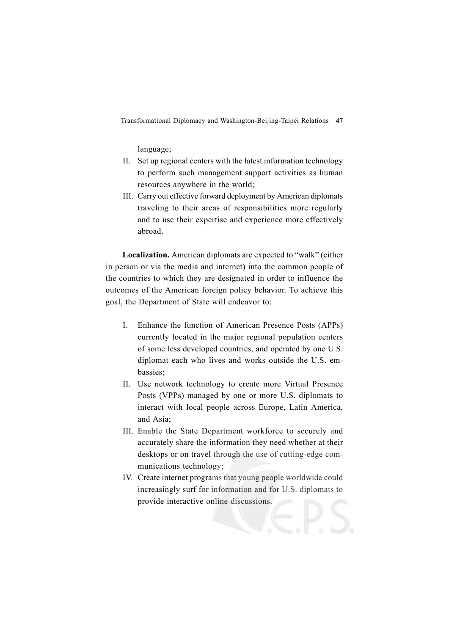language;

- II. Set up regional centers with the latest information technology to perform such management support activities as human resources anywhere in the world;
- III. Carry out effective forward deployment by American diplomats traveling to their areas of responsibilities more regularly and to use their expertise and experience more effectively abroad.

**Localization.** American diplomats are expected to "walk" (either in person or via the media and internet) into the common people of the countries to which they are designated in order to influence the outcomes of the American foreign policy behavior. To achieve this goal, the Department of State will endeavor to:

- I. Enhance the function of American Presence Posts (APPs) currently located in the major regional population centers of some less developed countries, and operated by one U.S. diplomat each who lives and works outside the U.S. embassies;
- II. Use network technology to create more Virtual Presence Posts (VPPs) managed by one or more U.S. diplomats to interact with local people across Europe, Latin America, and Asia;
- III. Enable the State Department workforce to securely and accurately share the information they need whether at their desktops or on travel through the use of cutting-edge communications technology;
- IV. Create internet programs that young people worldwide could increasingly surf for information and for U.S. diplomats to provide interactive online discussions.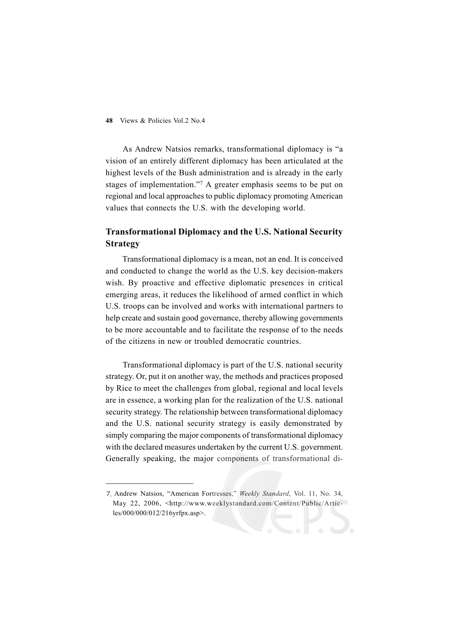As Andrew Natsios remarks, transformational diplomacy is "a vision of an entirely different diplomacy has been articulated at the highest levels of the Bush administration and is already in the early stages of implementation."7 A greater emphasis seems to be put on regional and local approaches to public diplomacy promoting American values that connects the U.S. with the developing world.

# **Transformational Diplomacy and the U.S. National Security Strategy**

Transformational diplomacy is a mean, not an end. It is conceived and conducted to change the world as the U.S. key decision-makers wish. By proactive and effective diplomatic presences in critical emerging areas, it reduces the likelihood of armed conflict in which U.S. troops can be involved and works with international partners to help create and sustain good governance, thereby allowing governments to be more accountable and to facilitate the response of to the needs of the citizens in new or troubled democratic countries.

Transformational diplomacy is part of the U.S. national security strategy. Or, put it on another way, the methods and practices proposed by Rice to meet the challenges from global, regional and local levels are in essence, a working plan for the realization of the U.S. national security strategy. The relationship between transformational diplomacy and the U.S. national security strategy is easily demonstrated by simply comparing the major components of transformational diplomacy with the declared measures undertaken by the current U.S. government. Generally speaking, the major components of transformational di-

Andrew Natsios, "American Fortresses," *Weekly Standard*, Vol. 11, No. 34, May 22, 2006, <http://www.weeklystandard.com/Content/Public/Articles/000/000/012/216yrfpx.asp>.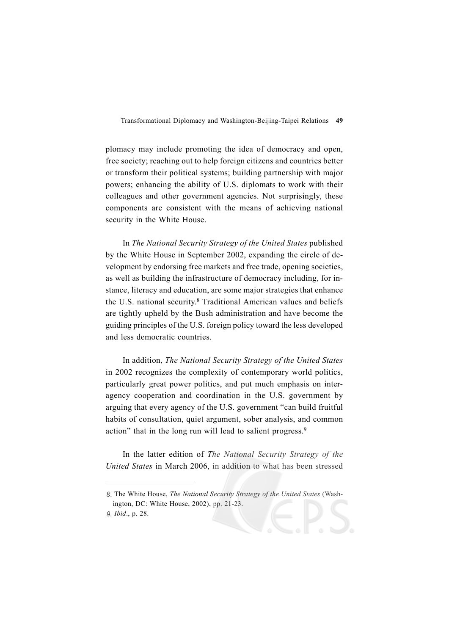plomacy may include promoting the idea of democracy and open, free society; reaching out to help foreign citizens and countries better or transform their political systems; building partnership with major powers; enhancing the ability of U.S. diplomats to work with their colleagues and other government agencies. Not surprisingly, these components are consistent with the means of achieving national security in the White House.

In *The National Security Strategy of the United States* published by the White House in September 2002, expanding the circle of development by endorsing free markets and free trade, opening societies, as well as building the infrastructure of democracy including, for instance, literacy and education, are some major strategies that enhance the U.S. national security.8 Traditional American values and beliefs are tightly upheld by the Bush administration and have become the guiding principles of the U.S. foreign policy toward the less developed and less democratic countries.

In addition, *The National Security Strategy of the United States* in 2002 recognizes the complexity of contemporary world politics, particularly great power politics, and put much emphasis on interagency cooperation and coordination in the U.S. government by arguing that every agency of the U.S. government "can build fruitful habits of consultation, quiet argument, sober analysis, and common action" that in the long run will lead to salient progress.<sup>9</sup>

In the latter edition of *The National Security Strategy of the United States* in March 2006, in addition to what has been stressed

*Ibid*., p. 28.

The White House, *The National Security Strategy of the United States* (Washington, DC: White House, 2002), pp. 21-23.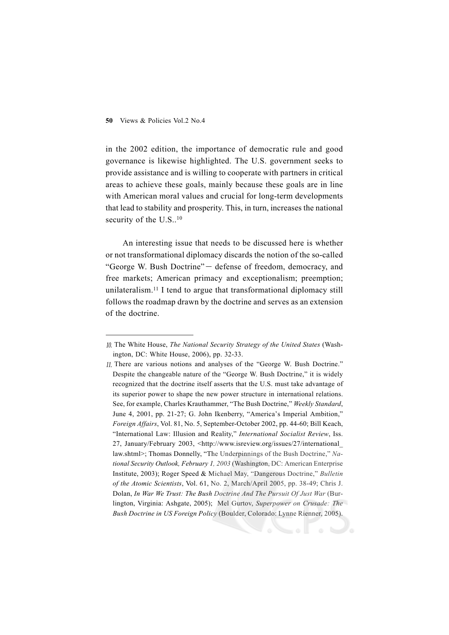#### **50** Views & Policies Vol.2 No.4

in the 2002 edition, the importance of democratic rule and good governance is likewise highlighted. The U.S. government seeks to provide assistance and is willing to cooperate with partners in critical areas to achieve these goals, mainly because these goals are in line with American moral values and crucial for long-term developments that lead to stability and prosperity. This, in turn, increases the national security of the U.S..<sup>10</sup>

An interesting issue that needs to be discussed here is whether or not transformational diplomacy discards the notion of the so-called "George W. Bush Doctrine" - defense of freedom, democracy, and free markets; American primacy and exceptionalism; preemption; unilateralism.11 I tend to argue that transformational diplomacy still follows the roadmap drawn by the doctrine and serves as an extension of the doctrine.

The White House, *The National Security Strategy of the United States* (Washington, DC: White House, 2006), pp. 32-33.

There are various notions and analyses of the "George W. Bush Doctrine." Despite the changeable nature of the "George W. Bush Doctrine," it is widely recognized that the doctrine itself asserts that the U.S. must take advantage of its superior power to shape the new power structure in international relations. See, for example, Charles Krauthammer, "The Bush Doctrine," *Weekly Standard*, June 4, 2001, pp. 21-27; G. John Ikenberry, "America's Imperial Ambition," *Foreign Affairs*, Vol. 81, No. 5, September-October 2002, pp. 44-60; Bill Keach, "International Law: Illusion and Reality," *International Socialist Review*, Iss. 27, January/February 2003, <http://www.isreview.org/issues/27/international\_ law.shtml>; Thomas Donnelly, "The Underpinnings of the Bush Doctrine," *National Security Outlook, February 1, 2003* (Washington, DC: American Enterprise Institute, 2003); Roger Speed & Michael May, "Dangerous Doctrine," *Bulletin of the Atomic Scientists*, Vol. 61, No. 2, March/April 2005, pp. 38-49; Chris J. Dolan, *In War We Trust: The Bush Doctrine And The Pursuit Of Just War* (Burlington, Virginia: Ashgate, 2005); Mel Gurtov, *Superpower on Crusade: The Bush Doctrine in US Foreign Policy* (Boulder, Colorado: Lynne Rienner, 2005).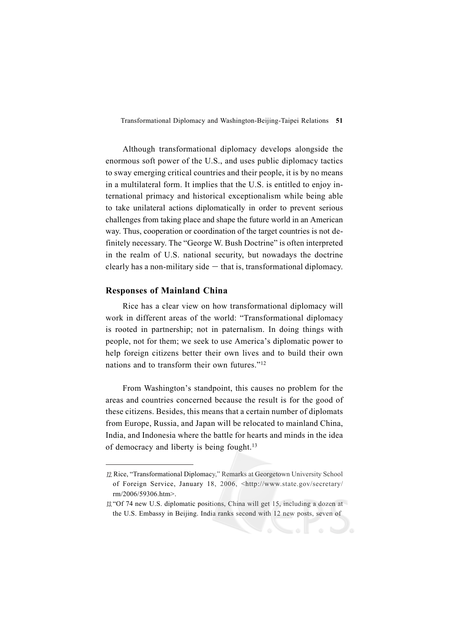Although transformational diplomacy develops alongside the enormous soft power of the U.S., and uses public diplomacy tactics to sway emerging critical countries and their people, it is by no means in a multilateral form. It implies that the U.S. is entitled to enjoy international primacy and historical exceptionalism while being able to take unilateral actions diplomatically in order to prevent serious challenges from taking place and shape the future world in an American way. Thus, cooperation or coordination of the target countries is not definitely necessary. The "George W. Bush Doctrine" is often interpreted in the realm of U.S. national security, but nowadays the doctrine clearly has a non-military side  $-$  that is, transformational diplomacy.

# **Responses of Mainland China**

Rice has a clear view on how transformational diplomacy will work in different areas of the world: "Transformational diplomacy is rooted in partnership; not in paternalism. In doing things with people, not for them; we seek to use America's diplomatic power to help foreign citizens better their own lives and to build their own nations and to transform their own futures."<sup>12</sup>

From Washington's standpoint, this causes no problem for the areas and countries concerned because the result is for the good of these citizens. Besides, this means that a certain number of diplomats from Europe, Russia, and Japan will be relocated to mainland China, India, and Indonesia where the battle for hearts and minds in the idea of democracy and liberty is being fought.13

<sup>12.</sup> Rice, "Transformational Diplomacy," Remarks at Georgetown University School of Foreign Service, January 18, 2006, <http://www.state.gov/secretary/ rm/2006/59306.htm>.

 $13$  "Of 74 new U.S. diplomatic positions, China will get 15, including a dozen at the U.S. Embassy in Beijing. India ranks second with 12 new posts, seven of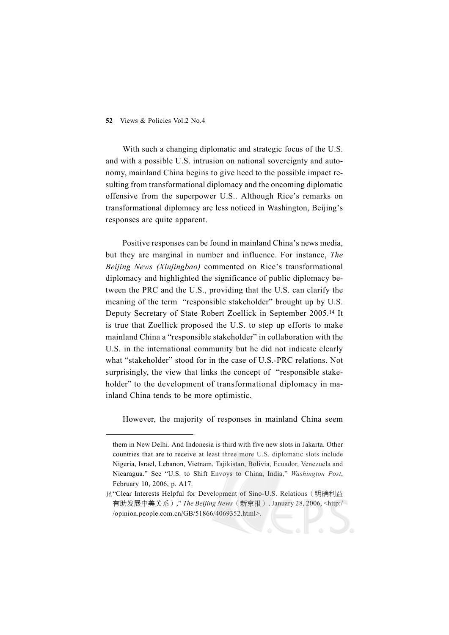#### **52** Views & Policies Vol.2 No.4

With such a changing diplomatic and strategic focus of the U.S. and with a possible U.S. intrusion on national sovereignty and autonomy, mainland China begins to give heed to the possible impact resulting from transformational diplomacy and the oncoming diplomatic offensive from the superpower U.S.. Although Rice's remarks on transformational diplomacy are less noticed in Washington, Beijing's responses are quite apparent.

Positive responses can be found in mainland China's news media, but they are marginal in number and influence. For instance, *The Beijing News (Xinjingbao)* commented on Rice's transformational diplomacy and highlighted the significance of public diplomacy between the PRC and the U.S., providing that the U.S. can clarify the meaning of the term "responsible stakeholder" brought up by U.S. Deputy Secretary of State Robert Zoellick in September 2005.14 It is true that Zoellick proposed the U.S. to step up efforts to make mainland China a "responsible stakeholder" in collaboration with the U.S. in the international community but he did not indicate clearly what "stakeholder" stood for in the case of U.S.-PRC relations. Not surprisingly, the view that links the concept of "responsible stakeholder" to the development of transformational diplomacy in mainland China tends to be more optimistic.

However, the majority of responses in mainland China seem

them in New Delhi. And Indonesia is third with five new slots in Jakarta. Other countries that are to receive at least three more U.S. diplomatic slots include Nigeria, Israel, Lebanon, Vietnam, Tajikistan, Bolivia, Ecuador, Venezuela and Nicaragua." See "U.S. to Shift Envoys to China, India," *Washington Post*, February 10, 2006, p. A17.

<sup>14. &</sup>quot;Clear Interests Helpful for Development of Sino-U.S. Relations (明确利益 有助发展中美关系)," *The Beijing News*(新京报), January 28, 2006, <http:/ /opinion.people.com.cn/GB/51866/4069352.html>.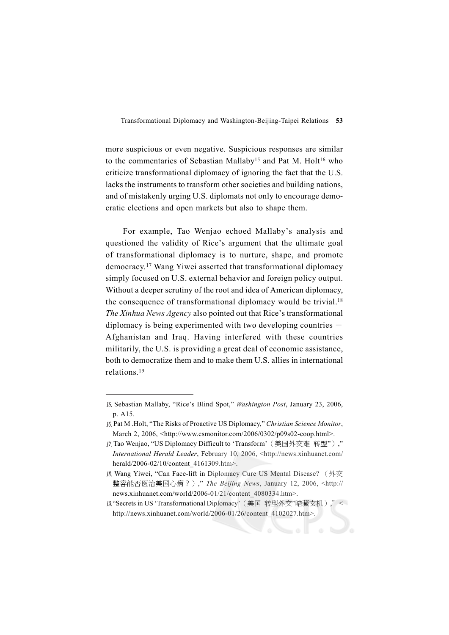more suspicious or even negative. Suspicious responses are similar to the commentaries of Sebastian Mallaby<sup>15</sup> and Pat M. Holt<sup>16</sup> who criticize transformational diplomacy of ignoring the fact that the U.S. lacks the instruments to transform other societies and building nations, and of mistakenly urging U.S. diplomats not only to encourage democratic elections and open markets but also to shape them.

For example, Tao Wenjao echoed Mallaby's analysis and questioned the validity of Rice's argument that the ultimate goal of transformational diplomacy is to nurture, shape, and promote democracy.17 Wang Yiwei asserted that transformational diplomacy simply focused on U.S. external behavior and foreign policy output. Without a deeper scrutiny of the root and idea of American diplomacy, the consequence of transformational diplomacy would be trivial.<sup>18</sup> *The Xinhua News Agency* also pointed out that Rice's transformational diplomacy is being experimented with two developing countries  $-$ Afghanistan and Iraq. Having interfered with these countries militarily, the U.S. is providing a great deal of economic assistance, both to democratize them and to make them U.S. allies in international relations.19

- Pat M .Holt, "The Risks of Proactive US Diplomacy," *Christian Science Monitor*, March 2, 2006, <http://www.csmonitor.com/2006/0302/p09s02-coop.html>.
- Tao Wenjao, "US Diplomacy Difficult to 'Transform'(美国外交难 转型")," *International Herald Leader*, February 10, 2006, <http://news.xinhuanet.com/ herald/2006-02/10/content\_4161309.htm>.
- Wang Yiwei, "Can Face-lift in Diplomacy Cure US Mental Disease? (外交 整容能否医治美国心病?)," *The Beijing News*, January 12, 2006, <http:// news.xinhuanet.com/world/2006-01/21/content\_4080334.htm>.
- "Secrets in US 'Transformational Diplomacy'(美国 转型外交"暗藏玄机),"< http://news.xinhuanet.com/world/2006-01/26/content\_4102027.htm>.

Sebastian Mallaby, "Rice's Blind Spot," *Washington Post*, January 23, 2006, p. A15.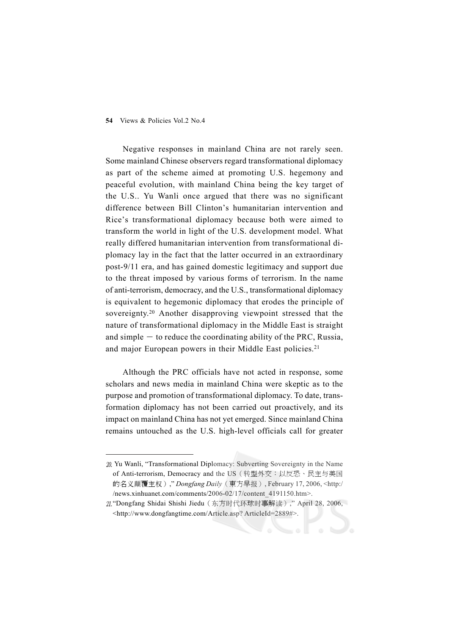Negative responses in mainland China are not rarely seen. Some mainland Chinese observers regard transformational diplomacy as part of the scheme aimed at promoting U.S. hegemony and peaceful evolution, with mainland China being the key target of the U.S.. Yu Wanli once argued that there was no significant difference between Bill Clinton's humanitarian intervention and Rice's transformational diplomacy because both were aimed to transform the world in light of the U.S. development model. What really differed humanitarian intervention from transformational diplomacy lay in the fact that the latter occurred in an extraordinary post-9/11 era, and has gained domestic legitimacy and support due to the threat imposed by various forms of terrorism. In the name of anti-terrorism, democracy, and the U.S., transformational diplomacy is equivalent to hegemonic diplomacy that erodes the principle of sovereignty.20 Another disapproving viewpoint stressed that the nature of transformational diplomacy in the Middle East is straight and simple  $-$  to reduce the coordinating ability of the PRC, Russia, and major European powers in their Middle East policies.21

Although the PRC officials have not acted in response, some scholars and news media in mainland China were skeptic as to the purpose and promotion of transformational diplomacy. To date, transformation diplomacy has not been carried out proactively, and its impact on mainland China has not yet emerged. Since mainland China remains untouched as the U.S. high-level officials call for greater

<sup>20.</sup> Yu Wanli, "Transformational Diplomacy: Subverting Sovereignty in the Name of Anti-terrorism, Democracy and the US(转型外交:以反恐、民主与美国 的名义颠覆主权)," *Dongfang Daily*(東方早报), February 17, 2006, <http:/ /news.xinhuanet.com/comments/2006-02/17/content\_4191150.htm>.

<sup>21. &</sup>quot;Dongfang Shidai Shishi Jiedu (东方时代环球时事解读)," April 28, 2006, <http://www.dongfangtime.com/Article.asp? ArticleId=2889#>.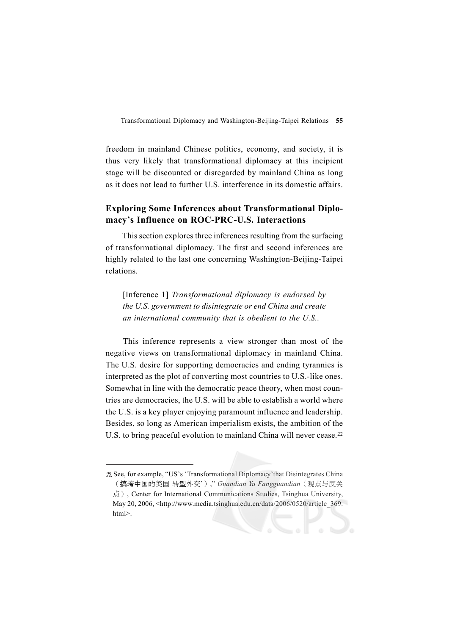freedom in mainland Chinese politics, economy, and society, it is thus very likely that transformational diplomacy at this incipient stage will be discounted or disregarded by mainland China as long as it does not lead to further U.S. interference in its domestic affairs.

# **Exploring Some Inferences about Transformational Diplomacy's Influence on ROC-PRC-U.S. Interactions**

This section explores three inferences resulting from the surfacing of transformational diplomacy. The first and second inferences are highly related to the last one concerning Washington-Beijing-Taipei relations.

[Inference 1] *Transformational diplomacy is endorsed by the U.S. government to disintegrate or end China and create an international community that is obedient to the U.S..*

This inference represents a view stronger than most of the negative views on transformational diplomacy in mainland China. The U.S. desire for supporting democracies and ending tyrannies is interpreted as the plot of converting most countries to U.S.-like ones. Somewhat in line with the democratic peace theory, when most countries are democracies, the U.S. will be able to establish a world where the U.S. is a key player enjoying paramount influence and leadership. Besides, so long as American imperialism exists, the ambition of the U.S. to bring peaceful evolution to mainland China will never cease.<sup>22</sup>

<sup>22.</sup> See, for example, "US's 'Transformational Diplomacy' that Disintegrates China (搞垮中国的美国 转型外交')," *Guandian Yu Fangguandian*(观点与反关 点), Center for International Communications Studies, Tsinghua University, May 20, 2006, <http://www.media.tsinghua.edu.cn/data/2006/0520/article\_369. html>.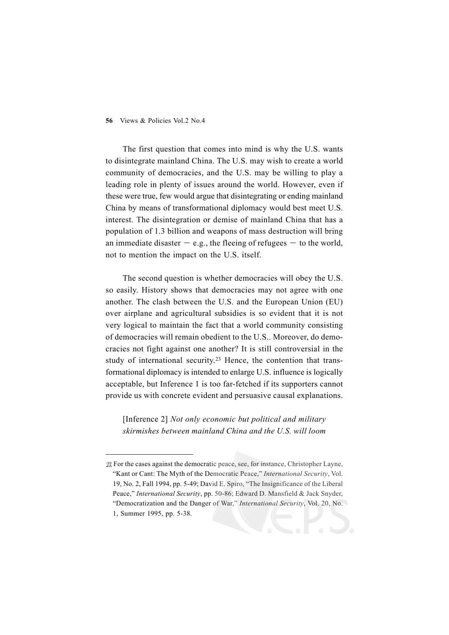The first question that comes into mind is why the U.S. wants to disintegrate mainland China. The U.S. may wish to create a world community of democracies, and the U.S. may be willing to play a leading role in plenty of issues around the world. However, even if these were true, few would argue that disintegrating or ending mainland China by means of transformational diplomacy would best meet U.S. interest. The disintegration or demise of mainland China that has a population of 1.3 billion and weapons of mass destruction will bring an immediate disaster  $-$  e.g., the fleeing of refugees  $-$  to the world, not to mention the impact on the U.S. itself.

The second question is whether democracies will obey the U.S. so easily. History shows that democracies may not agree with one another. The clash between the U.S. and the European Union (EU) over airplane and agricultural subsidies is so evident that it is not very logical to maintain the fact that a world community consisting of democracies will remain obedient to the U.S.. Moreover, do democracies not fight against one another? It is still controversial in the study of international security.<sup>23</sup> Hence, the contention that transformational diplomacy is intended to enlarge U.S. influence is logically acceptable, but Inference 1 is too far-fetched if its supporters cannot provide us with concrete evident and persuasive causal explanations.

[Inference 2] *Not only economic but political and military skirmishes between mainland China and the U.S. will loom*

<sup>23.</sup> For the cases against the democratic peace, see, for instance, Christopher Layne, "Kant or Cant: The Myth of the Democratic Peace," *International Security*, Vol. 19, No. 2, Fall 1994, pp. 5-49; David E. Spiro, "The Insignificance of the Liberal Peace," *International Security*, pp. 50-86; Edward D. Mansfield & Jack Snyder, "Democratization and the Danger of War," *International Security*, Vol. 20, No. 1, Summer 1995, pp. 5-38.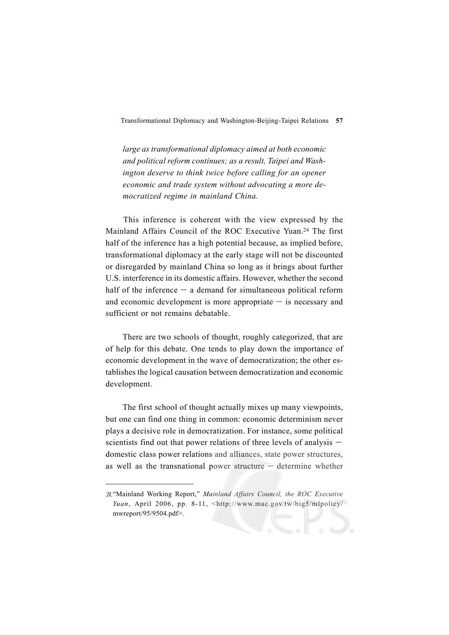*large as transformational diplomacy aimed at both economic and political reform continues; as a result, Taipei and Washington deserve to think twice before calling for an opener economic and trade system without advocating a more democratized regime in mainland China.*

This inference is coherent with the view expressed by the Mainland Affairs Council of the ROC Executive Yuan.24 The first half of the inference has a high potential because, as implied before, transformational diplomacy at the early stage will not be discounted or disregarded by mainland China so long as it brings about further U.S. interference in its domestic affairs. However, whether the second half of the inference  $-$  a demand for simultaneous political reform and economic development is more appropriate  $-$  is necessary and sufficient or not remains debatable.

There are two schools of thought, roughly categorized, that are of help for this debate. One tends to play down the importance of economic development in the wave of democratization; the other establishes the logical causation between democratization and economic development.

The first school of thought actually mixes up many viewpoints, but one can find one thing in common: economic determinism never plays a decisive role in democratization. For instance, some political scientists find out that power relations of three levels of analysis  $$ domestic class power relations and alliances, state power structures, as well as the transnational power structure - determine whether

<sup>&</sup>quot;Mainland Working Report," *Mainland Affairs Council, the ROC Executive Yuan*, April 2006, pp. 8-11, <http://www.mac.gov.tw/big5/mlpolicy/ mwreport/95/9504.pdf>.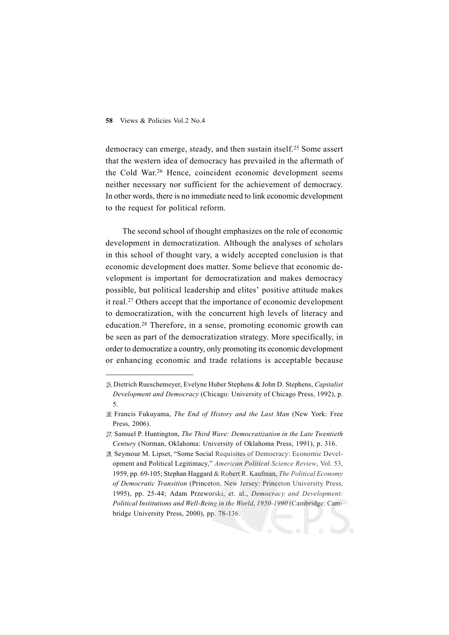#### **58** Views & Policies Vol.2 No.4

democracy can emerge, steady, and then sustain itself.25 Some assert that the western idea of democracy has prevailed in the aftermath of the Cold War.26 Hence, coincident economic development seems neither necessary nor sufficient for the achievement of democracy. In other words, there is no immediate need to link economic development to the request for political reform.

The second school of thought emphasizes on the role of economic development in democratization. Although the analyses of scholars in this school of thought vary, a widely accepted conclusion is that economic development does matter. Some believe that economic development is important for democratization and makes democracy possible, but political leadership and elites' positive attitude makes it real.27 Others accept that the importance of economic development to democratization, with the concurrent high levels of literacy and education.28 Therefore, in a sense, promoting economic growth can be seen as part of the democratization strategy. More specifically, in order to democratize a country, only promoting its economic development or enhancing economic and trade relations is acceptable because

Dietrich Rueschemeyer, Evelyne Huber Stephens & John D. Stephens, *Capitalist Development and Democracy* (Chicago: University of Chicago Press, 1992), p. 5.

Francis Fukuyama, *The End of History and the Last Man* (New York: Free Press, 2006).

Samuel P. Huntington, *The Third Wave: Democratization in the Late Twentieth Century* (Norman, Oklahoma: University of Oklahoma Press, 1991), p. 316.

<sup>28.</sup> Seymour M. Lipset, "Some Social Requisites of Democracy: Economic Development and Political Legitimacy," *American Political Science Review*, Vol. 53, 1959, pp. 69-105; Stephan Haggard & Robert R. Kaufman, *The Political Economy of Democratic Transition* (Princeton, New Jersey: Princeton University Press, 1995), pp. 25-44; Adam Przeworski, et. al., *Democracy and Development: Political Institutions and Well-Being in the World*, *1950-1990* (Cambridge: Cambridge University Press, 2000), pp. 78-136.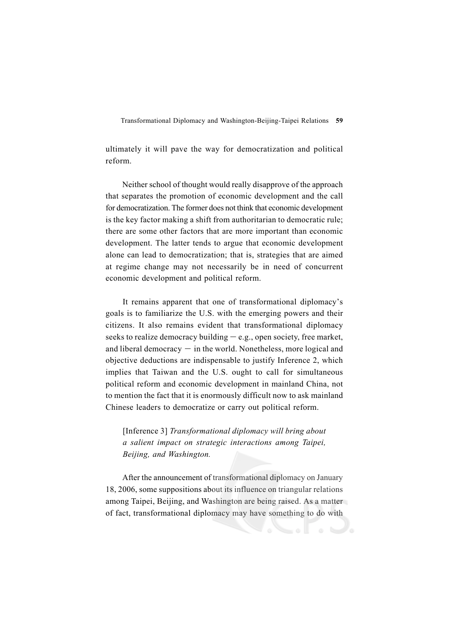ultimately it will pave the way for democratization and political reform.

Neither school of thought would really disapprove of the approach that separates the promotion of economic development and the call for democratization. The former does not think that economic development is the key factor making a shift from authoritarian to democratic rule; there are some other factors that are more important than economic development. The latter tends to argue that economic development alone can lead to democratization; that is, strategies that are aimed at regime change may not necessarily be in need of concurrent economic development and political reform.

It remains apparent that one of transformational diplomacy's goals is to familiarize the U.S. with the emerging powers and their citizens. It also remains evident that transformational diplomacy seeks to realize democracy building  $-e.g.,$  open society, free market, and liberal democracy  $-$  in the world. Nonetheless, more logical and objective deductions are indispensable to justify Inference 2, which implies that Taiwan and the U.S. ought to call for simultaneous political reform and economic development in mainland China, not to mention the fact that it is enormously difficult now to ask mainland Chinese leaders to democratize or carry out political reform.

[Inference 3] *Transformational diplomacy will bring about a salient impact on strategic interactions among Taipei, Beijing, and Washington.*

After the announcement of transformational diplomacy on January 18, 2006, some suppositions about its influence on triangular relations among Taipei, Beijing, and Washington are being raised. As a matter of fact, transformational diplomacy may have something to do with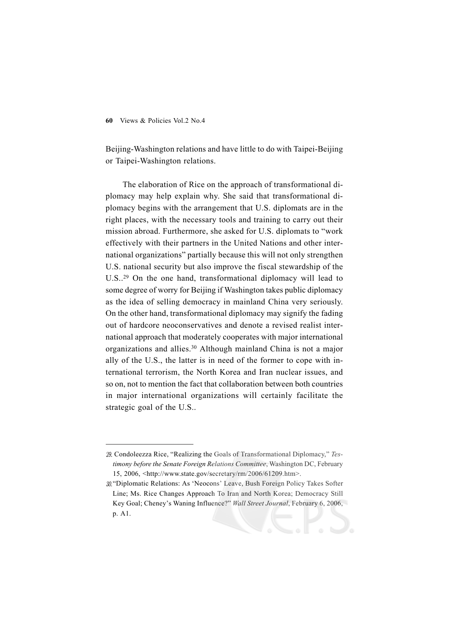Beijing-Washington relations and have little to do with Taipei-Beijing or Taipei-Washington relations.

The elaboration of Rice on the approach of transformational diplomacy may help explain why. She said that transformational diplomacy begins with the arrangement that U.S. diplomats are in the right places, with the necessary tools and training to carry out their mission abroad. Furthermore, she asked for U.S. diplomats to "work effectively with their partners in the United Nations and other international organizations" partially because this will not only strengthen U.S. national security but also improve the fiscal stewardship of the U.S..29 On the one hand, transformational diplomacy will lead to some degree of worry for Beijing if Washington takes public diplomacy as the idea of selling democracy in mainland China very seriously. On the other hand, transformational diplomacy may signify the fading out of hardcore neoconservatives and denote a revised realist international approach that moderately cooperates with major international organizations and allies.30 Although mainland China is not a major ally of the U.S., the latter is in need of the former to cope with international terrorism, the North Korea and Iran nuclear issues, and so on, not to mention the fact that collaboration between both countries in major international organizations will certainly facilitate the strategic goal of the U.S..

30. "Diplomatic Relations: As 'Neocons' Leave, Bush Foreign Policy Takes Softer Line; Ms. Rice Changes Approach To Iran and North Korea; Democracy Still Key Goal; Cheney's Waning Influence?" *Wall Street Journal*, February 6, 2006, p. A1.

Condoleezza Rice, "Realizing the Goals of Transformational Diplomacy," *Testimony before the Senate Foreign Relations Committee*, Washington DC, February 15, 2006, <http://www.state.gov/secretary/rm/2006/61209.htm>.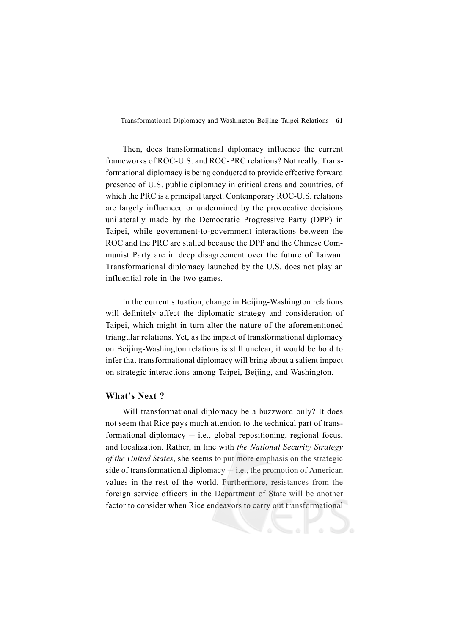Then, does transformational diplomacy influence the current frameworks of ROC-U.S. and ROC-PRC relations? Not really. Transformational diplomacy is being conducted to provide effective forward presence of U.S. public diplomacy in critical areas and countries, of which the PRC is a principal target. Contemporary ROC-U.S. relations are largely influenced or undermined by the provocative decisions unilaterally made by the Democratic Progressive Party (DPP) in Taipei, while government-to-government interactions between the ROC and the PRC are stalled because the DPP and the Chinese Communist Party are in deep disagreement over the future of Taiwan. Transformational diplomacy launched by the U.S. does not play an influential role in the two games.

In the current situation, change in Beijing-Washington relations will definitely affect the diplomatic strategy and consideration of Taipei, which might in turn alter the nature of the aforementioned triangular relations. Yet, as the impact of transformational diplomacy on Beijing-Washington relations is still unclear, it would be bold to infer that transformational diplomacy will bring about a salient impact on strategic interactions among Taipei, Beijing, and Washington.

### **What's Next ?**

Will transformational diplomacy be a buzzword only? It does not seem that Rice pays much attention to the technical part of transformational diplomacy  $-$  i.e., global repositioning, regional focus, and localization. Rather, in line with *the National Security Strategy of the United States*, she seems to put more emphasis on the strategic side of transformational diplomacy  $-$  i.e., the promotion of American values in the rest of the world. Furthermore, resistances from the foreign service officers in the Department of State will be another factor to consider when Rice endeavors to carry out transformational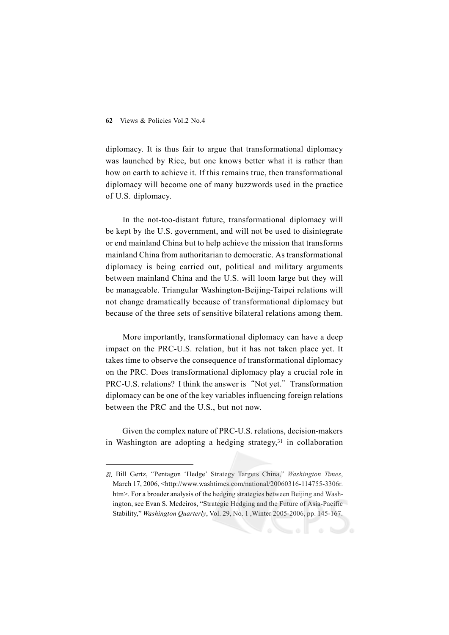#### **62** Views & Policies Vol.2 No.4

diplomacy. It is thus fair to argue that transformational diplomacy was launched by Rice, but one knows better what it is rather than how on earth to achieve it. If this remains true, then transformational diplomacy will become one of many buzzwords used in the practice of U.S. diplomacy.

In the not-too-distant future, transformational diplomacy will be kept by the U.S. government, and will not be used to disintegrate or end mainland China but to help achieve the mission that transforms mainland China from authoritarian to democratic. As transformational diplomacy is being carried out, political and military arguments between mainland China and the U.S. will loom large but they will be manageable. Triangular Washington-Beijing-Taipei relations will not change dramatically because of transformational diplomacy but because of the three sets of sensitive bilateral relations among them.

More importantly, transformational diplomacy can have a deep impact on the PRC-U.S. relation, but it has not taken place yet. It takes time to observe the consequence of transformational diplomacy on the PRC. Does transformational diplomacy play a crucial role in PRC-U.S. relations? I think the answer is "Not yet." Transformation diplomacy can be one of the key variables influencing foreign relations between the PRC and the U.S., but not now.

Given the complex nature of PRC-U.S. relations, decision-makers in Washington are adopting a hedging strategy, $31$  in collaboration

Bill Gertz, "Pentagon 'Hedge' Strategy Targets China," *Washington Times*, March 17, 2006, <http://www.washtimes.com/national/20060316-114755-3306r. htm>. For a broader analysis of the hedging strategies between Beijing and Washington, see Evan S. Medeiros, "Strategic Hedging and the Future of Asia-Pacific Stability," *Washington Quarterly*, Vol. 29, No. 1 ,Winter 2005-2006, pp. 145-167.